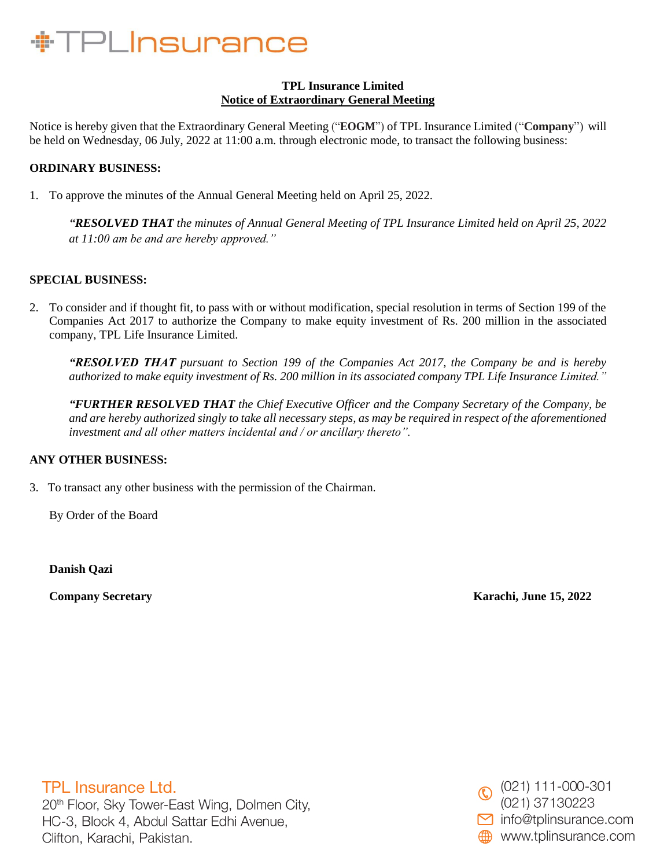## **TPL Insurance Limited Notice of Extraordinary General Meeting**

Notice is hereby given that the Extraordinary General Meeting ("**EOGM**") of TPL Insurance Limited ("**Company**") will be held on Wednesday, 06 July, 2022 at 11:00 a.m. through electronic mode, to transact the following business:

## **ORDINARY BUSINESS:**

1. To approve the minutes of the Annual General Meeting held on April 25, 2022.

*"RESOLVED THAT the minutes of Annual General Meeting of TPL Insurance Limited held on April 25, 2022 at 11:00 am be and are hereby approved."*

## **SPECIAL BUSINESS:**

2. To consider and if thought fit, to pass with or without modification, special resolution in terms of Section 199 of the Companies Act 2017 to authorize the Company to make equity investment of Rs. 200 million in the associated company, TPL Life Insurance Limited.

*"RESOLVED THAT pursuant to Section 199 of the Companies Act 2017, the Company be and is hereby authorized to make equity investment of Rs. 200 million in its associated company TPL Life Insurance Limited."*

*"FURTHER RESOLVED THAT the Chief Executive Officer and the Company Secretary of the Company, be and are hereby authorized singly to take all necessary steps, as may be required in respect of the aforementioned investment and all other matters incidental and / or ancillary thereto".*

## **ANY OTHER BUSINESS:**

3. To transact any other business with the permission of the Chairman.

By Order of the Board

**Danish Qazi**

**Company Secretary Karachi, June 15, 2022**

**TPL Insurance Ltd.** 20th Floor, Sky Tower-East Wing, Dolmen City, HC-3, Block 4, Abdul Sattar Edhi Avenue, Clifton, Karachi, Pakistan.

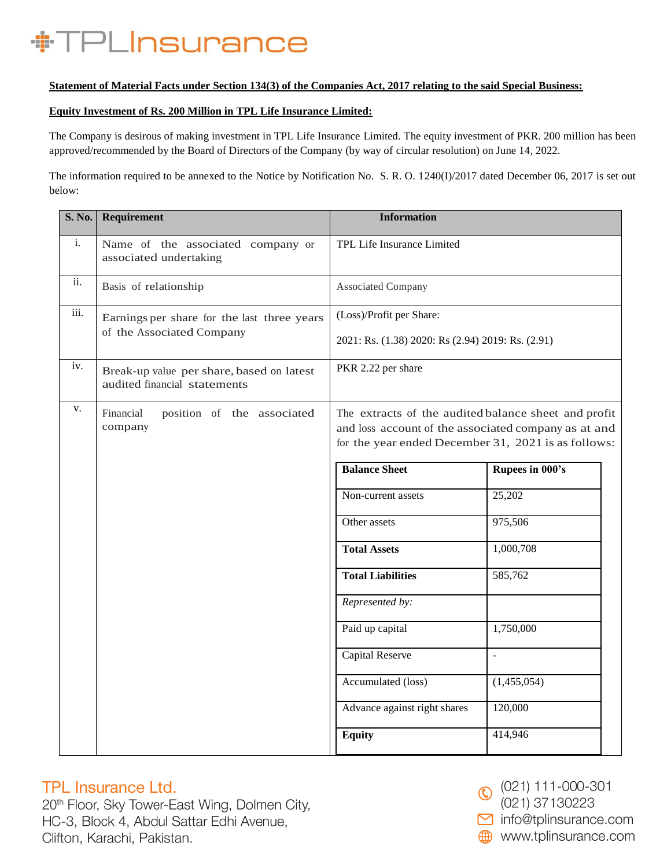### **Statement of Material Facts under Section 134(3) of the Companies Act, 2017 relating to the said Special Business:**

### **Equity Investment of Rs. 200 Million in TPL Life Insurance Limited:**

The Company is desirous of making investment in TPL Life Insurance Limited. The equity investment of PKR. 200 million has been approved/recommended by the Board of Directors of the Company (by way of circular resolution) on June 14, 2022.

The information required to be annexed to the Notice by Notification No. S. R. O. 1240(I)/2017 dated December 06, 2017 is set out below:

| <b>S. No.</b>  | Requirement                                                               | <b>Information</b>                                                                                           |                          |
|----------------|---------------------------------------------------------------------------|--------------------------------------------------------------------------------------------------------------|--------------------------|
| $\mathbf{i}$ . | Name of the associated company or<br>associated undertaking               | TPL Life Insurance Limited                                                                                   |                          |
| ii.            | Basis of relationship                                                     | Associated Company                                                                                           |                          |
| iii.           | Earnings per share for the last three years<br>of the Associated Company  | (Loss)/Profit per Share:                                                                                     |                          |
|                |                                                                           | 2021: Rs. (1.38) 2020: Rs (2.94) 2019: Rs. (2.91)                                                            |                          |
| iv.            | Break-up value per share, based on latest<br>audited financial statements | PKR 2.22 per share                                                                                           |                          |
| v.             | Financial<br>position of the associated<br>company                        | The extracts of the audited balance sheet and profit<br>and loss account of the associated company as at and |                          |
|                |                                                                           | for the year ended December 31, 2021 is as follows:                                                          |                          |
|                |                                                                           | <b>Balance Sheet</b>                                                                                         | Rupees in 000's          |
|                |                                                                           | Non-current assets                                                                                           | 25,202                   |
|                |                                                                           | Other assets                                                                                                 | 975,506                  |
|                |                                                                           | <b>Total Assets</b>                                                                                          | 1,000,708                |
|                |                                                                           | <b>Total Liabilities</b>                                                                                     | 585,762                  |
|                |                                                                           | Represented by:                                                                                              |                          |
|                |                                                                           | Paid up capital                                                                                              | 1,750,000                |
|                |                                                                           | Capital Reserve                                                                                              | $\overline{\phantom{a}}$ |
|                |                                                                           | Accumulated (loss)                                                                                           | (1,455,054)              |
|                |                                                                           | Advance against right shares                                                                                 | 120,000                  |
|                |                                                                           | <b>Equity</b>                                                                                                | 414,946                  |

## **TPL Insurance Ltd.**

20<sup>th</sup> Floor, Sky Tower-East Wing, Dolmen City, HC-3, Block 4, Abdul Sattar Edhi Avenue, Clifton, Karachi, Pakistan.



(021) 37130223

mfo@tplinsurance.com

www.tplinsurance.com ÆÆÐ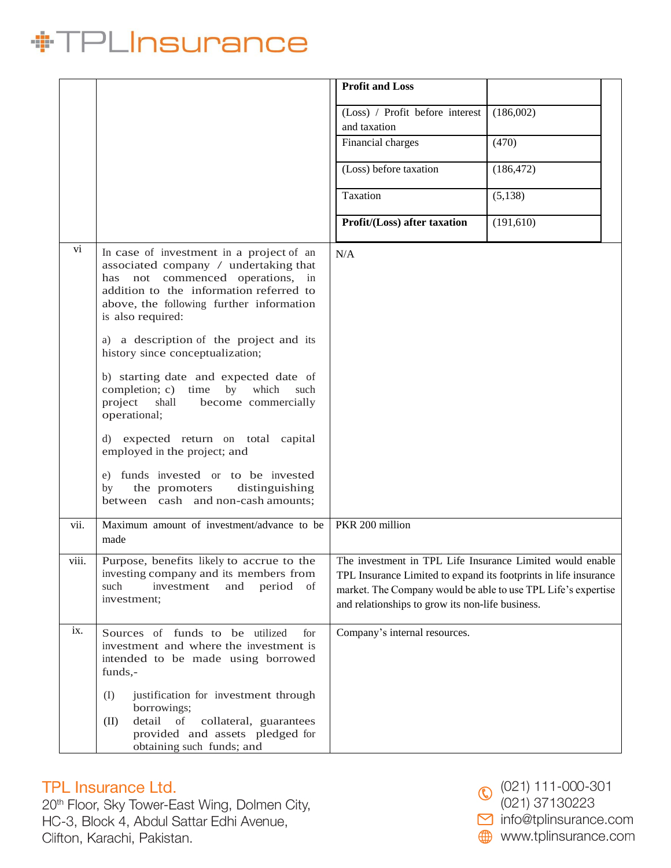|       |                                                                                                                                                                                                                                                                                 | <b>Profit and Loss</b>                                                                                                                                                                                                                             |            |  |
|-------|---------------------------------------------------------------------------------------------------------------------------------------------------------------------------------------------------------------------------------------------------------------------------------|----------------------------------------------------------------------------------------------------------------------------------------------------------------------------------------------------------------------------------------------------|------------|--|
|       |                                                                                                                                                                                                                                                                                 | (Loss) / Profit before interest<br>and taxation                                                                                                                                                                                                    | (186,002)  |  |
|       |                                                                                                                                                                                                                                                                                 | Financial charges                                                                                                                                                                                                                                  | (470)      |  |
|       |                                                                                                                                                                                                                                                                                 | (Loss) before taxation                                                                                                                                                                                                                             | (186, 472) |  |
|       |                                                                                                                                                                                                                                                                                 | Taxation                                                                                                                                                                                                                                           | (5,138)    |  |
|       |                                                                                                                                                                                                                                                                                 | Profit/(Loss) after taxation                                                                                                                                                                                                                       | (191,610)  |  |
| vi    | In case of investment in a project of an<br>associated company / undertaking that<br>not commenced operations, in<br>has<br>addition to the information referred to<br>above, the following further information<br>is also required:<br>a) a description of the project and its | N/A                                                                                                                                                                                                                                                |            |  |
|       | history since conceptualization;<br>b) starting date and expected date of<br>completion; c) time<br>by<br>which<br>such<br>shall<br>project<br>become commercially<br>operational;                                                                                              |                                                                                                                                                                                                                                                    |            |  |
|       | d) expected return on total capital<br>employed in the project; and                                                                                                                                                                                                             |                                                                                                                                                                                                                                                    |            |  |
|       | e) funds invested or to be invested<br>the promoters<br>distinguishing<br>by<br>between cash and non-cash amounts;                                                                                                                                                              |                                                                                                                                                                                                                                                    |            |  |
| vii.  | Maximum amount of investment/advance to be<br>made                                                                                                                                                                                                                              | PKR 200 million                                                                                                                                                                                                                                    |            |  |
| viii. | Purpose, benefits likely to accrue to the<br>investing company and its members from<br>period<br>such<br>investment<br>and<br>of<br>investment;                                                                                                                                 | The investment in TPL Life Insurance Limited would enable<br>TPL Insurance Limited to expand its footprints in life insurance<br>market. The Company would be able to use TPL Life's expertise<br>and relationships to grow its non-life business. |            |  |
| ix.   | Sources of funds to be utilized<br>for<br>investment and where the investment is<br>intended to be made using borrowed<br>funds,-                                                                                                                                               | Company's internal resources.                                                                                                                                                                                                                      |            |  |
|       | (I)<br>justification for investment through<br>borrowings;<br>detail<br>of<br>collateral, guarantees<br>(II)<br>provided and assets pledged for<br>obtaining such funds; and                                                                                                    |                                                                                                                                                                                                                                                    |            |  |

## TPL Insurance Ltd.

20<sup>th</sup> Floor, Sky Tower-East Wing, Dolmen City, HC-3, Block 4, Abdul Sattar Edhi Avenue, Clifton, Karachi, Pakistan.

 $\odot$  (021) 111-000-301 (021) 37130223 mfo@tplinsurance.com www.tplinsurance.com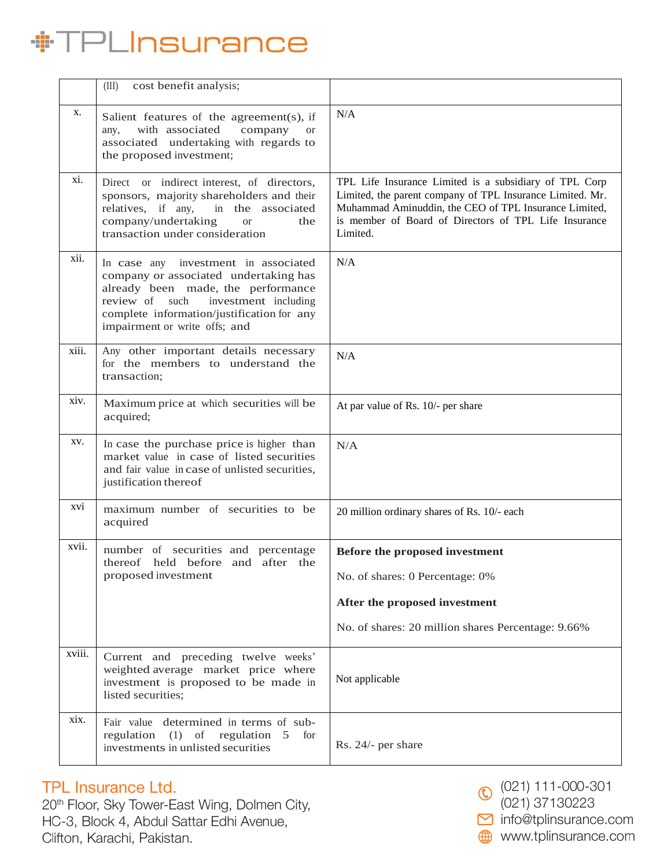|        | cost benefit analysis;<br>(III)                                                                                                                                                                                                                    |                                                                                                                                                                                                                                                   |  |
|--------|----------------------------------------------------------------------------------------------------------------------------------------------------------------------------------------------------------------------------------------------------|---------------------------------------------------------------------------------------------------------------------------------------------------------------------------------------------------------------------------------------------------|--|
| X.     | Salient features of the agreement(s), if<br>with associated<br>company<br>any,<br><sub>or</sub><br>associated undertaking with regards to<br>the proposed investment;                                                                              | N/A                                                                                                                                                                                                                                               |  |
| xi.    | Direct or indirect interest, of directors,<br>sponsors, majority shareholders and their<br>relatives, if any,<br>in the associated<br>company/undertaking<br><b>or</b><br>the<br>transaction under consideration                                   | TPL Life Insurance Limited is a subsidiary of TPL Corp<br>Limited, the parent company of TPL Insurance Limited. Mr.<br>Muhammad Aminuddin, the CEO of TPL Insurance Limited,<br>is member of Board of Directors of TPL Life Insurance<br>Limited. |  |
| xii.   | investment in associated<br>In case any<br>company or associated undertaking has<br>already been made, the performance<br>investment including<br>review of<br>such<br>complete information/justification for any<br>impairment or write offs; and | N/A                                                                                                                                                                                                                                               |  |
| xiii.  | Any other important details necessary<br>for the members to understand the<br>transaction;                                                                                                                                                         | N/A                                                                                                                                                                                                                                               |  |
| xiv.   | Maximum price at which securities will be<br>acquired;                                                                                                                                                                                             | At par value of Rs. 10/- per share                                                                                                                                                                                                                |  |
| XV.    | In case the purchase price is higher than<br>market value in case of listed securities<br>and fair value in case of unlisted securities,<br>justification thereof                                                                                  | N/A                                                                                                                                                                                                                                               |  |
| XVI    | maximum number of securities to be<br>acquired                                                                                                                                                                                                     | 20 million ordinary shares of Rs. 10/- each                                                                                                                                                                                                       |  |
| xvii.  | number of securities and percentage<br>thereof held before and after the                                                                                                                                                                           | Before the proposed investment                                                                                                                                                                                                                    |  |
|        | proposed investment                                                                                                                                                                                                                                | No. of shares: 0 Percentage: 0%                                                                                                                                                                                                                   |  |
|        |                                                                                                                                                                                                                                                    | After the proposed investment                                                                                                                                                                                                                     |  |
|        |                                                                                                                                                                                                                                                    | No. of shares: 20 million shares Percentage: 9.66%                                                                                                                                                                                                |  |
| xviii. | Current and preceding twelve weeks'<br>weighted average market price where<br>investment is proposed to be made in<br>listed securities;                                                                                                           | Not applicable                                                                                                                                                                                                                                    |  |
| xix.   | Fair value determined in terms of sub-<br>regulation<br>$(1)$ of<br>regulation 5<br>for<br>investments in unlisted securities                                                                                                                      | Rs. 24/- per share                                                                                                                                                                                                                                |  |

## TPL Insurance Ltd.

20<sup>th</sup> Floor, Sky Tower-East Wing, Dolmen City, HC-3, Block 4, Abdul Sattar Edhi Avenue, Clifton, Karachi, Pakistan.